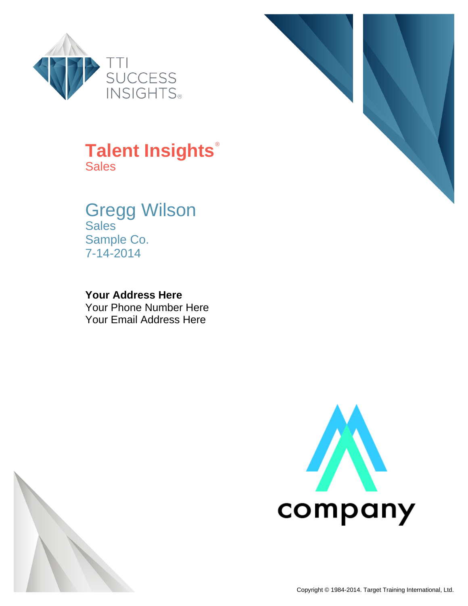



## **Talent Insights**® **Sales**

#### Gregg Wilson **Sales** Sample Co. 7-14-2014

#### **Your Address Here**

Your Phone Number Here Your Email Address Here



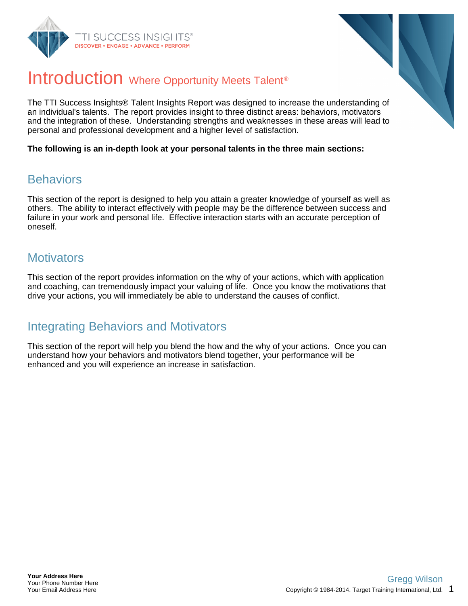



## Introduction Where Opportunity Meets Talent<sup>®</sup>

The TTI Success Insights® Talent Insights Report was designed to increase the understanding of an individual's talents. The report provides insight to three distinct areas: behaviors, motivators and the integration of these. Understanding strengths and weaknesses in these areas will lead to personal and professional development and a higher level of satisfaction.

**The following is an in-depth look at your personal talents in the three main sections:**

#### **Behaviors**

This section of the report is designed to help you attain a greater knowledge of yourself as well as others. The ability to interact effectively with people may be the difference between success and failure in your work and personal life. Effective interaction starts with an accurate perception of oneself.

#### **Motivators**

This section of the report provides information on the why of your actions, which with application and coaching, can tremendously impact your valuing of life. Once you know the motivations that drive your actions, you will immediately be able to understand the causes of conflict.

### Integrating Behaviors and Motivators

This section of the report will help you blend the how and the why of your actions. Once you can understand how your behaviors and motivators blend together, your performance will be enhanced and you will experience an increase in satisfaction.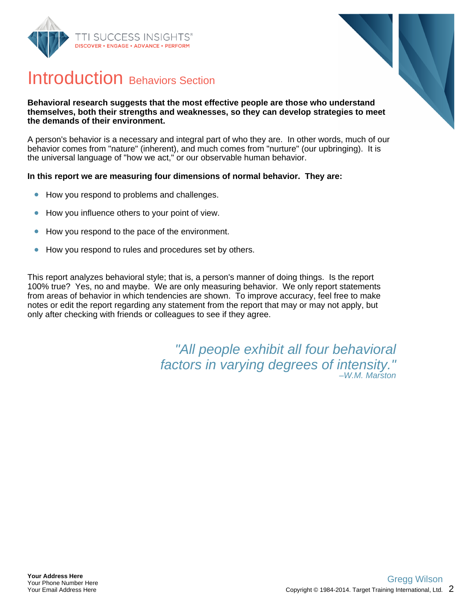



## Introduction Behaviors Section

#### **Behavioral research suggests that the most effective people are those who understand themselves, both their strengths and weaknesses, so they can develop strategies to meet the demands of their environment.**

A person's behavior is a necessary and integral part of who they are. In other words, much of our behavior comes from "nature" (inherent), and much comes from "nurture" (our upbringing). It is the universal language of "how we act," or our observable human behavior.

#### **In this report we are measuring four dimensions of normal behavior. They are:**

- How you respond to problems and challenges.  $\bullet$
- How you influence others to your point of view.  $\bullet$
- How you respond to the pace of the environment.  $\bullet$
- How you respond to rules and procedures set by others.  $\bullet$

This report analyzes behavioral style; that is, a person's manner of doing things. Is the report 100% true? Yes, no and maybe. We are only measuring behavior. We only report statements from areas of behavior in which tendencies are shown. To improve accuracy, feel free to make notes or edit the report regarding any statement from the report that may or may not apply, but only after checking with friends or colleagues to see if they agree.

> "All people exhibit all four behavioral factors in varying degrees of intensity." –W.M. Marston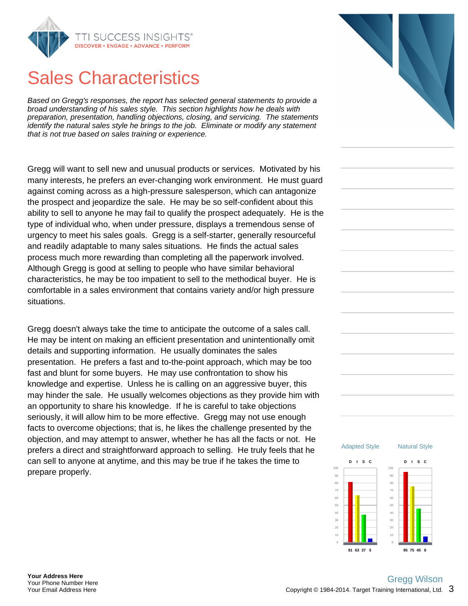

## Sales Characteristics

Based on Gregg's responses, the report has selected general statements to provide a broad understanding of his sales style. This section highlights how he deals with preparation, presentation, handling objections, closing, and servicing. The statements identify the natural sales style he brings to the job. Eliminate or modify any statement that is not true based on sales training or experience.

Gregg will want to sell new and unusual products or services. Motivated by his many interests, he prefers an ever-changing work environment. He must guard against coming across as a high-pressure salesperson, which can antagonize the prospect and jeopardize the sale. He may be so self-confident about this ability to sell to anyone he may fail to qualify the prospect adequately. He is the type of individual who, when under pressure, displays a tremendous sense of urgency to meet his sales goals. Gregg is a self-starter, generally resourceful and readily adaptable to many sales situations. He finds the actual sales process much more rewarding than completing all the paperwork involved. Although Gregg is good at selling to people who have similar behavioral characteristics, he may be too impatient to sell to the methodical buyer. He is comfortable in a sales environment that contains variety and/or high pressure situations.

Gregg doesn't always take the time to anticipate the outcome of a sales call. He may be intent on making an efficient presentation and unintentionally omit details and supporting information. He usually dominates the sales presentation. He prefers a fast and to-the-point approach, which may be too fast and blunt for some buyers. He may use confrontation to show his knowledge and expertise. Unless he is calling on an aggressive buyer, this may hinder the sale. He usually welcomes objections as they provide him with an opportunity to share his knowledge. If he is careful to take objections seriously, it will allow him to be more effective. Gregg may not use enough facts to overcome objections; that is, he likes the challenge presented by the objection, and may attempt to answer, whether he has all the facts or not. He prefers a direct and straightforward approach to selling. He truly feels that he can sell to anyone at anytime, and this may be true if he takes the time to prepare properly.



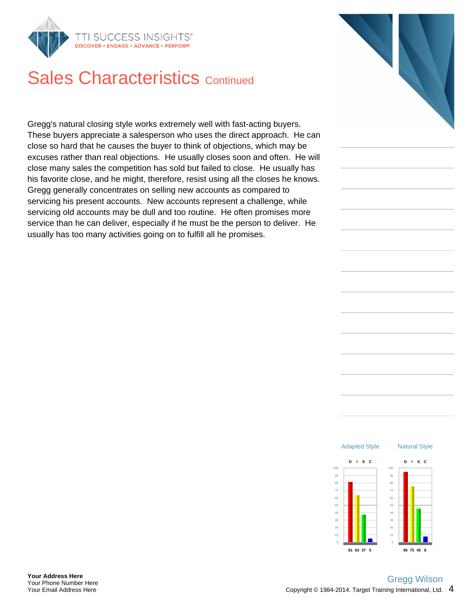

## Sales Characteristics Continued

Gregg's natural closing style works extremely well with fast-acting buyers. These buyers appreciate a salesperson who uses the direct approach. He can close so hard that he causes the buyer to think of objections, which may be excuses rather than real objections. He usually closes soon and often. He will close many sales the competition has sold but failed to close. He usually has his favorite close, and he might, therefore, resist using all the closes he knows. Gregg generally concentrates on selling new accounts as compared to servicing his present accounts. New accounts represent a challenge, while servicing old accounts may be dull and too routine. He often promises more service than he can deliver, especially if he must be the person to deliver. He usually has too many activities going on to fulfill all he promises.

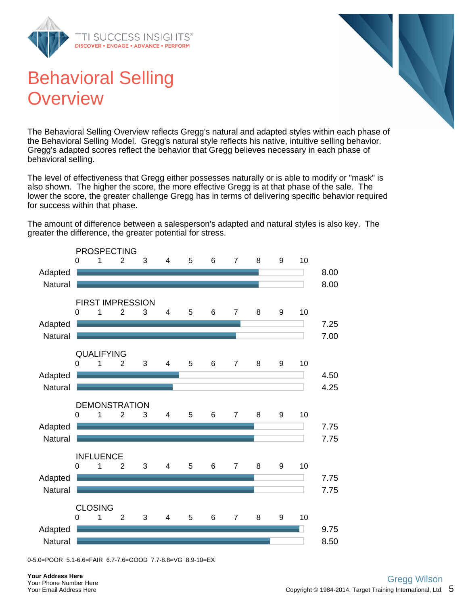





The Behavioral Selling Overview reflects Gregg's natural and adapted styles within each phase of the Behavioral Selling Model. Gregg's natural style reflects his native, intuitive selling behavior. Gregg's adapted scores reflect the behavior that Gregg believes necessary in each phase of behavioral selling.

The level of effectiveness that Gregg either possesses naturally or is able to modify or "mask" is also shown. The higher the score, the more effective Gregg is at that phase of the sale. The lower the score, the greater challenge Gregg has in terms of delivering specific behavior required for success within that phase.

The amount of difference between a salesperson's adapted and natural styles is also key. The greater the difference, the greater potential for stress.



<sup>0-5.0=</sup>POOR 5.1-6.6=FAIR 6.7-7.6=GOOD 7.7-8.8=VG 8.9-10=EX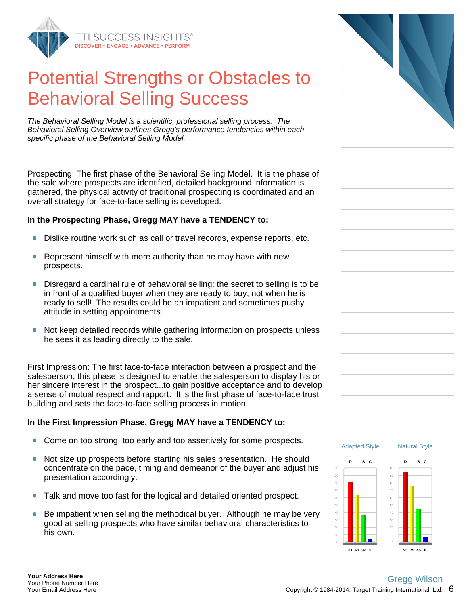

The Behavioral Selling Model is a scientific, professional selling process. The Behavioral Selling Overview outlines Gregg's performance tendencies within each specific phase of the Behavioral Selling Model.

Prospecting: The first phase of the Behavioral Selling Model. It is the phase of the sale where prospects are identified, detailed background information is gathered, the physical activity of traditional prospecting is coordinated and an overall strategy for face-to-face selling is developed.

#### **In the Prospecting Phase, Gregg MAY have a TENDENCY to:**

- Dislike routine work such as call or travel records, expense reports, etc.
- Represent himself with more authority than he may have with new prospects.
- $\bullet$ Disregard a cardinal rule of behavioral selling: the secret to selling is to be in front of a qualified buyer when they are ready to buy, not when he is ready to sell! The results could be an impatient and sometimes pushy attitude in setting appointments.
- Not keep detailed records while gathering information on prospects unless  $\bullet$ he sees it as leading directly to the sale.

First Impression: The first face-to-face interaction between a prospect and the salesperson, this phase is designed to enable the salesperson to display his or her sincere interest in the prospect...to gain positive acceptance and to develop a sense of mutual respect and rapport. It is the first phase of face-to-face trust building and sets the face-to-face selling process in motion.

#### **In the First Impression Phase, Gregg MAY have a TENDENCY to:**

- $\bullet$ Come on too strong, too early and too assertively for some prospects.
- Not size up prospects before starting his sales presentation. He should  $\bullet$ concentrate on the pace, timing and demeanor of the buyer and adjust his presentation accordingly.
- Talk and move too fast for the logical and detailed oriented prospect.  $\bullet$
- Be impatient when selling the methodical buyer. Although he may be very good at selling prospects who have similar behavioral characteristics to his own.



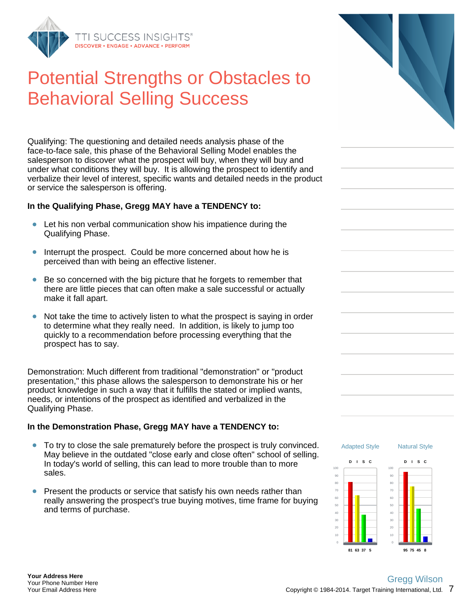

Qualifying: The questioning and detailed needs analysis phase of the face-to-face sale, this phase of the Behavioral Selling Model enables the salesperson to discover what the prospect will buy, when they will buy and under what conditions they will buy. It is allowing the prospect to identify and verbalize their level of interest, specific wants and detailed needs in the product or service the salesperson is offering.

#### **In the Qualifying Phase, Gregg MAY have a TENDENCY to:**

- Let his non verbal communication show his impatience during the Qualifying Phase.
- Interrupt the prospect. Could be more concerned about how he is perceived than with being an effective listener.
- Be so concerned with the big picture that he forgets to remember that there are little pieces that can often make a sale successful or actually make it fall apart.
- Not take the time to actively listen to what the prospect is saying in order  $\bullet$ to determine what they really need. In addition, is likely to jump too quickly to a recommendation before processing everything that the prospect has to say.

Demonstration: Much different from traditional "demonstration" or "product presentation," this phase allows the salesperson to demonstrate his or her product knowledge in such a way that it fulfills the stated or implied wants, needs, or intentions of the prospect as identified and verbalized in the Qualifying Phase.

#### **In the Demonstration Phase, Gregg MAY have a TENDENCY to:**

- $\bullet$ To try to close the sale prematurely before the prospect is truly convinced. May believe in the outdated "close early and close often" school of selling. In today's world of selling, this can lead to more trouble than to more sales.
- Present the products or service that satisfy his own needs rather than really answering the prospect's true buying motives, time frame for buying and terms of purchase.



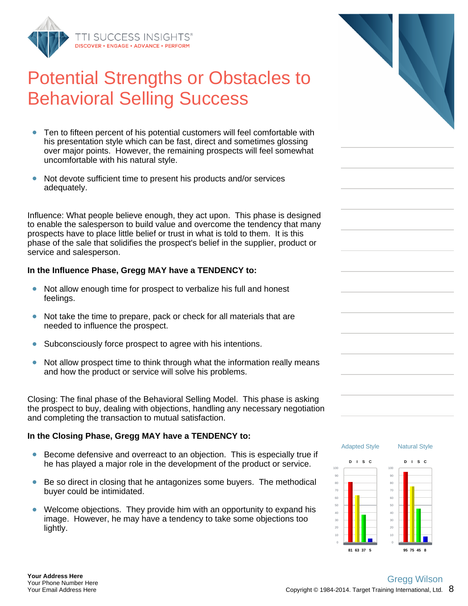

- Ten to fifteen percent of his potential customers will feel comfortable with  $\bullet$ his presentation style which can be fast, direct and sometimes glossing over major points. However, the remaining prospects will feel somewhat uncomfortable with his natural style.
- Not devote sufficient time to present his products and/or services  $\bullet$ adequately.

Influence: What people believe enough, they act upon. This phase is designed to enable the salesperson to build value and overcome the tendency that many prospects have to place little belief or trust in what is told to them. It is this phase of the sale that solidifies the prospect's belief in the supplier, product or service and salesperson.

#### **In the Influence Phase, Gregg MAY have a TENDENCY to:**

- Not allow enough time for prospect to verbalize his full and honest feelings.
- Not take the time to prepare, pack or check for all materials that are  $\bullet$ needed to influence the prospect.
- $\bullet$ Subconsciously force prospect to agree with his intentions.
- Not allow prospect time to think through what the information really means  $\bullet$ and how the product or service will solve his problems.

Closing: The final phase of the Behavioral Selling Model. This phase is asking the prospect to buy, dealing with objections, handling any necessary negotiation and completing the transaction to mutual satisfaction.

#### **In the Closing Phase, Gregg MAY have a TENDENCY to:**

- Become defensive and overreact to an objection. This is especially true if  $\bullet$ he has played a major role in the development of the product or service.
- Be so direct in closing that he antagonizes some buyers. The methodical buyer could be intimidated.
- Welcome objections. They provide him with an opportunity to expand his  $\bullet$ image. However, he may have a tendency to take some objections too lightly.



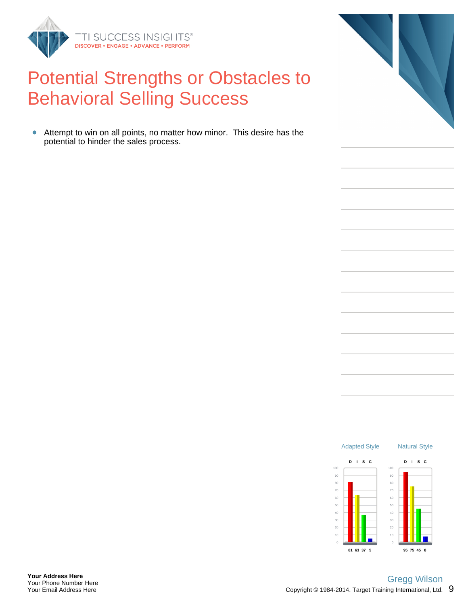

Attempt to win on all points, no matter how minor. This desire has the potential to hinder the sales process.

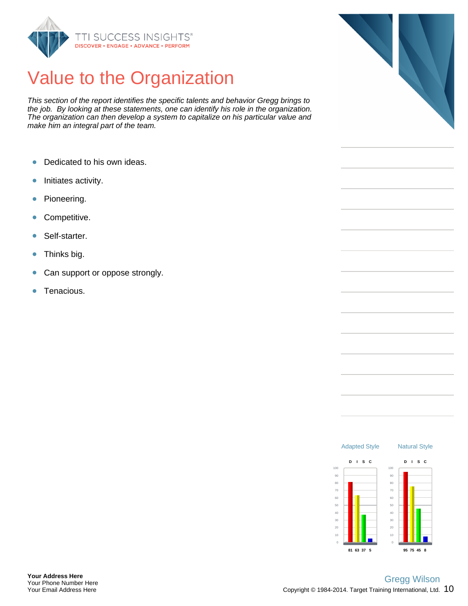

## Value to the Organization

This section of the report identifies the specific talents and behavior Gregg brings to the job. By looking at these statements, one can identify his role in the organization. The organization can then develop a system to capitalize on his particular value and make him an integral part of the team.

- Dedicated to his own ideas.  $\bullet$
- Initiates activity.  $\bullet$
- Pioneering.  $\bullet$
- Competitive.  $\bullet$
- Self-starter.  $\bullet$
- Thinks big.  $\bullet$
- $\bullet$ Can support or oppose strongly.
- Tenacious.  $\bullet$



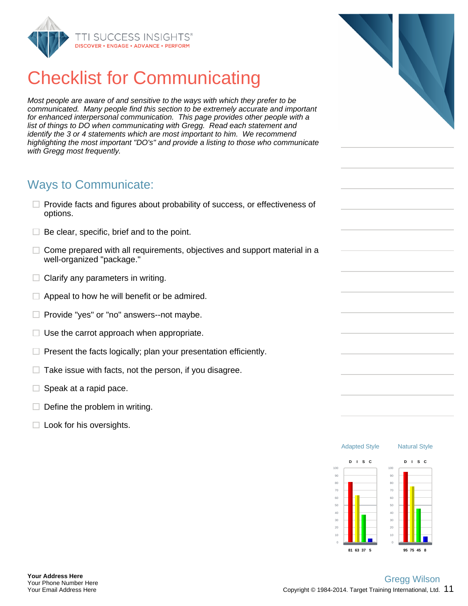

## Checklist for Communicating

Most people are aware of and sensitive to the ways with which they prefer to be communicated. Many people find this section to be extremely accurate and important for enhanced interpersonal communication. This page provides other people with a list of things to DO when communicating with Gregg. Read each statement and identify the 3 or 4 statements which are most important to him. We recommend highlighting the most important "DO's" and provide a listing to those who communicate with Gregg most frequently.

#### Ways to Communicate:

- $\Box$  Provide facts and figures about probability of success, or effectiveness of options.
- $\Box$  Be clear, specific, brief and to the point.
- $\Box$ Come prepared with all requirements, objectives and support material in a well-organized "package."
- $\Box$  Clarify any parameters in writing.
- Appeal to how he will benefit or be admired.  $\Box$
- □. Provide "yes" or "no" answers--not maybe.
- Use the carrot approach when appropriate. □.
- $\Box$ Present the facts logically; plan your presentation efficiently.
- Take issue with facts, not the person, if you disagree.  $\Box$
- Speak at a rapid pace. □.
- $\Box$  Define the problem in writing.
- $\Box$  Look for his oversights.

Adapted Style

Natural Style

**D I S C**

**95 75 45 8**

**D I S C**

**81 63 37 5**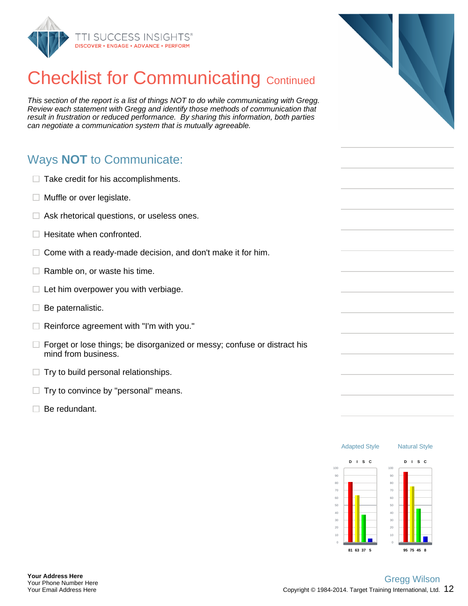

## **Checklist for Communicating Continued**

This section of the report is a list of things NOT to do while communicating with Gregg. Review each statement with Gregg and identify those methods of communication that result in frustration or reduced performance. By sharing this information, both parties can negotiate a communication system that is mutually agreeable.

## Ways **NOT** to Communicate:

| $\Box$ Take credit for his accomplishments.                                                            |  |
|--------------------------------------------------------------------------------------------------------|--|
| $\Box$ Muffle or over legislate.                                                                       |  |
| $\Box$ Ask rhetorical questions, or useless ones.                                                      |  |
| $\Box$ Hesitate when confronted.                                                                       |  |
| $\Box$ Come with a ready-made decision, and don't make it for him.                                     |  |
| $\Box$ Ramble on, or waste his time.                                                                   |  |
| $\Box$ Let him overpower you with verbiage.                                                            |  |
| $\Box$ Be paternalistic.                                                                               |  |
| $\Box$ Reinforce agreement with "I'm with you."                                                        |  |
| $\Box$ Forget or lose things; be disorganized or messy; confuse or distract his<br>mind from business. |  |
| $\Box$ Try to build personal relationships.                                                            |  |
| $\Box$ Try to convince by "personal" means.                                                            |  |

 $\Box$  Be redundant.

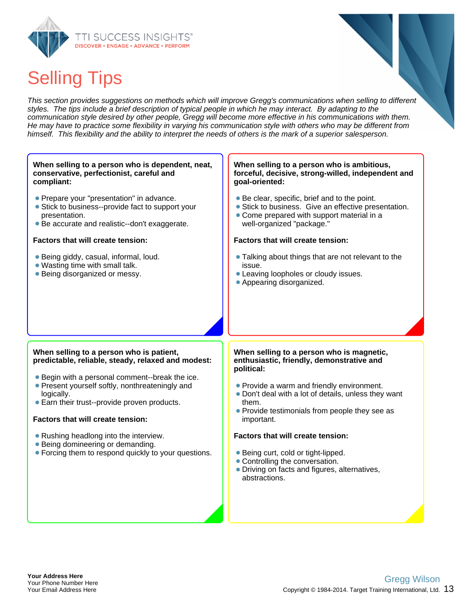

# Selling Tips

This section provides suggestions on methods which will improve Gregg's communications when selling to different styles. The tips include a brief description of typical people in which he may interact. By adapting to the communication style desired by other people, Gregg will become more effective in his communications with them. He may have to practice some flexibility in varying his communication style with others who may be different from himself. This flexibility and the ability to interpret the needs of others is the mark of a superior salesperson.

#### **When selling to a person who is dependent, neat, conservative, perfectionist, careful and compliant:**

- Prepare your "presentation" in advance.
- Stick to business--provide fact to support your presentation.
- Be accurate and realistic--don't exaggerate.

#### **Factors that will create tension:**

- Being giddy, casual, informal, loud.
- Wasting time with small talk.
- Being disorganized or messy.

#### **When selling to a person who is ambitious, forceful, decisive, strong-willed, independent and goal-oriented:**

- Be clear, specific, brief and to the point.
- Stick to business. Give an effective presentation.
- Come prepared with support material in a well-organized "package."

#### **Factors that will create tension:**

- **Talking about things that are not relevant to the** issue.
- Leaving loopholes or cloudy issues.
- Appearing disorganized.

#### **When selling to a person who is patient, predictable, reliable, steady, relaxed and modest:**

- Begin with a personal comment--break the ice.
- Present yourself softly, nonthreateningly and logically.
- Earn their trust--provide proven products.

#### **Factors that will create tension:**

- Rushing headlong into the interview.
- Being domineering or demanding.
- Forcing them to respond quickly to your questions.

#### **When selling to a person who is magnetic, enthusiastic, friendly, demonstrative and political:**

- Provide a warm and friendly environment.
- Don't deal with a lot of details, unless they want them.
- Provide testimonials from people they see as important.

#### **Factors that will create tension:**

- Being curt, cold or tight-lipped.
- Controlling the conversation.
- Driving on facts and figures, alternatives, abstractions.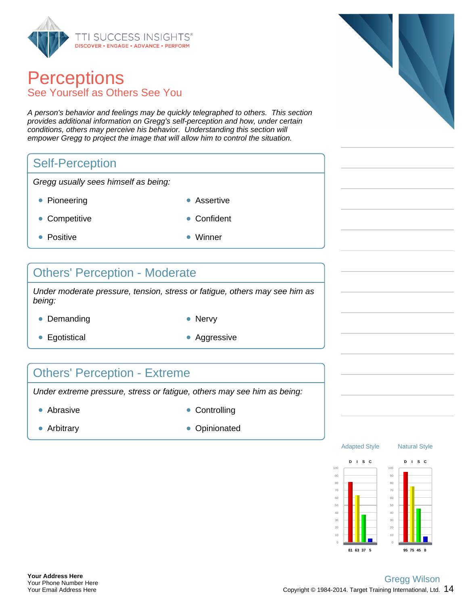

### **Perceptions** See Yourself as Others See You

A person's behavior and feelings may be quickly telegraphed to others. This section provides additional information on Gregg's self-perception and how, under certain conditions, others may perceive his behavior. Understanding this section will empower Gregg to project the image that will allow him to control the situation.

#### Self-Perception

Gregg usually sees himself as being:

- Pioneering **Assertive Assertive** 
	-
- Competitive **Confident**
- Positive **Winner**
- 

#### Others' Perception - Moderate

Under moderate pressure, tension, stress or fatigue, others may see him as being:

- Demanding Nervy
	-
- Egotistical **Aggressive** Aggressive
- 

#### Others' Perception - Extreme

Under extreme pressure, stress or fatigue, others may see him as being:

- 
- Abrasive **Controlling**
- 
- Arbitrary **Opinionated Opinionated**



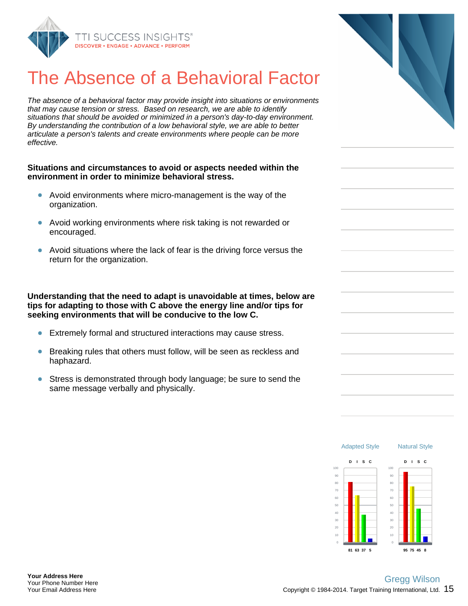

## The Absence of a Behavioral Factor

The absence of a behavioral factor may provide insight into situations or environments that may cause tension or stress. Based on research, we are able to identify situations that should be avoided or minimized in a person's day-to-day environment. By understanding the contribution of a low behavioral style, we are able to better articulate a person's talents and create environments where people can be more effective.

#### **Situations and circumstances to avoid or aspects needed within the environment in order to minimize behavioral stress.**

- Avoid environments where micro-management is the way of the organization.
- Avoid working environments where risk taking is not rewarded or encouraged.
- Avoid situations where the lack of fear is the driving force versus the return for the organization.

**Understanding that the need to adapt is unavoidable at times, below are tips for adapting to those with C above the energy line and/or tips for seeking environments that will be conducive to the low C.**

- Extremely formal and structured interactions may cause stress.
- Breaking rules that others must follow, will be seen as reckless and haphazard.
- Stress is demonstrated through body language; be sure to send the  $\bullet$ same message verbally and physically.



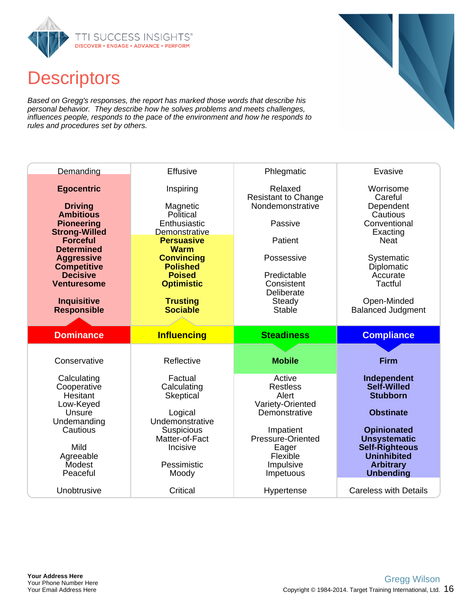

## **Descriptors**

Based on Gregg's responses, the report has marked those words that describe his personal behavior. They describe how he solves problems and meets challenges, influences people, responds to the pace of the environment and how he responds to rules and procedures set by others.

| Demanding                                                                                            | <b>Effusive</b>                                                            | Phlegmatic                                                           | Evasive                                                                                |
|------------------------------------------------------------------------------------------------------|----------------------------------------------------------------------------|----------------------------------------------------------------------|----------------------------------------------------------------------------------------|
| <b>Egocentric</b><br><b>Driving</b><br><b>Ambitious</b><br><b>Pioneering</b><br><b>Strong-Willed</b> | Inspiring<br>Magnetic<br>Political<br>Enthusiastic<br>Demonstrative        | Relaxed<br><b>Resistant to Change</b><br>Nondemonstrative<br>Passive | Worrisome<br>Careful<br>Dependent<br>Cautious<br>Conventional<br>Exacting              |
| <b>Forceful</b><br><b>Determined</b>                                                                 | <b>Persuasive</b><br><b>Warm</b>                                           | Patient                                                              | <b>Neat</b>                                                                            |
| <b>Aggressive</b><br><b>Competitive</b><br><b>Decisive</b><br><b>Venturesome</b>                     | <b>Convincing</b><br><b>Polished</b><br><b>Poised</b><br><b>Optimistic</b> | Possessive<br>Predictable<br>Consistent<br>Deliberate                | Systematic<br>Diplomatic<br>Accurate<br>Tactful                                        |
| <b>Inquisitive</b><br><b>Responsible</b>                                                             | <b>Trusting</b><br><b>Sociable</b>                                         | Steady<br>Stable                                                     | Open-Minded<br><b>Balanced Judgment</b>                                                |
|                                                                                                      |                                                                            |                                                                      |                                                                                        |
| <b>Dominance</b>                                                                                     | <b>Influencing</b>                                                         | <b>Steadiness</b>                                                    | <b>Compliance</b>                                                                      |
| Conservative                                                                                         | Reflective                                                                 | <b>Mobile</b>                                                        | <b>Firm</b>                                                                            |
| Calculating<br>Cooperative<br><b>Hesitant</b><br>Low-Keyed                                           | Factual<br>Calculating<br><b>Skeptical</b>                                 | Active<br><b>Restless</b><br>Alert<br>Variety-Oriented               | Independent<br><b>Self-Willed</b><br><b>Stubborn</b>                                   |
| Unsure<br>Undemanding<br>Cautious<br>Mild                                                            | Logical<br>Undemonstrative<br>Suspicious<br>Matter-of-Fact<br>Incisive     | Demonstrative<br>Impatient<br>Pressure-Oriented<br>Eager             | <b>Obstinate</b><br><b>Opinionated</b><br><b>Unsystematic</b><br><b>Self-Righteous</b> |
| Agreeable<br>Modest<br>Peaceful                                                                      | Pessimistic<br>Moody                                                       | Flexible<br>Impulsive<br>Impetuous                                   | <b>Uninhibited</b><br><b>Arbitrary</b><br><b>Unbending</b>                             |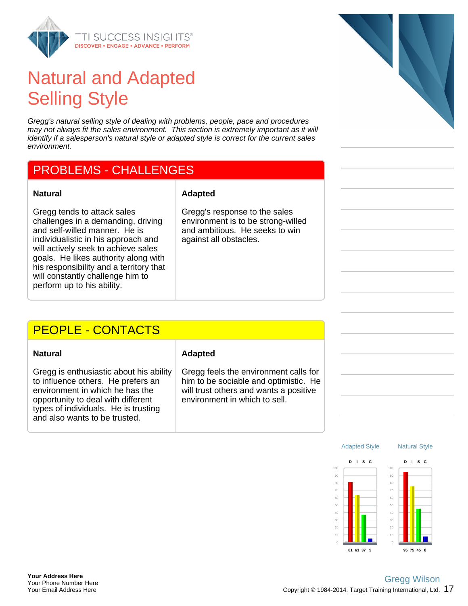

## Natural and Adapted Selling Style

Gregg's natural selling style of dealing with problems, people, pace and procedures may not always fit the sales environment. This section is extremely important as it will identify if a salesperson's natural style or adapted style is correct for the current sales environment.

#### PROBLEMS - CHALLENGES

Gregg tends to attack sales challenges in a demanding, driving and self-willed manner. He is individualistic in his approach and will actively seek to achieve sales goals. He likes authority along with his responsibility and a territory that will constantly challenge him to perform up to his ability.

#### **Natural Adapted**

Gregg's response to the sales environment is to be strong-willed and ambitious. He seeks to win against all obstacles.

#### PEOPLE - CONTACTS

Gregg is enthusiastic about his ability to influence others. He prefers an environment in which he has the opportunity to deal with different types of individuals. He is trusting and also wants to be trusted.

#### **Natural Adapted**

Gregg feels the environment calls for him to be sociable and optimistic. He will trust others and wants a positive environment in which to sell.



Natural Style

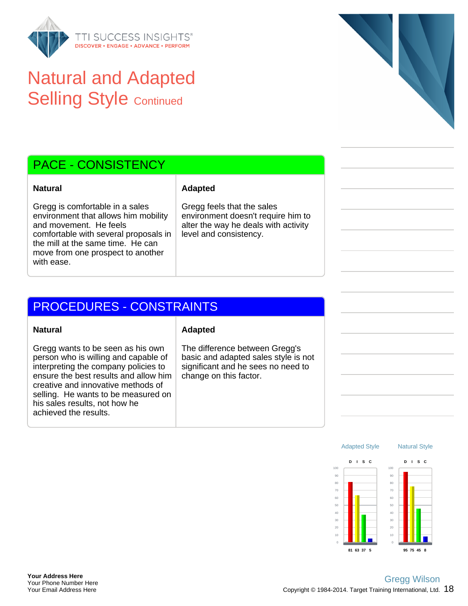

## Natural and Adapted **Selling Style Continued**



Gregg is comfortable in a sales environment that allows him mobility and movement. He feels comfortable with several proposals in the mill at the same time. He can move from one prospect to another with ease.

person who is willing and capable of interpreting the company policies to ensure the best results and allow him creative and innovative methods of selling. He wants to be measured on

his sales results, not how he

achieved the results.

#### **Natural Adapted**

Gregg feels that the sales environment doesn't require him to alter the way he deals with activity level and consistency.

### PROCEDURES - CONSTRAINTS

#### **Natural Adapted**

Gregg wants to be seen as his own

The difference between Gregg's basic and adapted sales style is not significant and he sees no need to change on this factor.



Natural Style

**95 75 45 8**

Adapted Style

**81 63 37 5**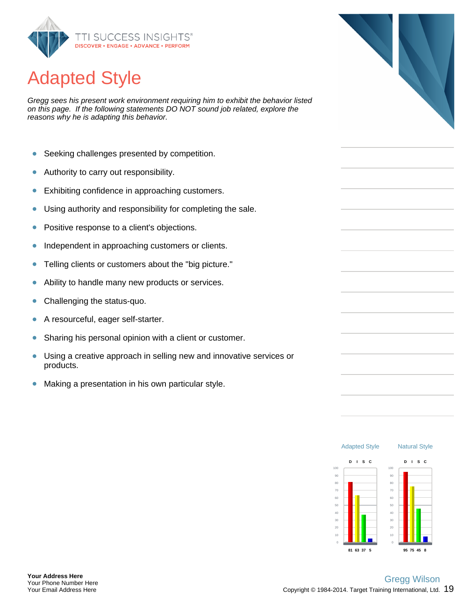

## Adapted Style

Gregg sees his present work environment requiring him to exhibit the behavior listed on this page. If the following statements DO NOT sound job related, explore the reasons why he is adapting this behavior.

- $\bullet$ Seeking challenges presented by competition.
- Authority to carry out responsibility.  $\bullet$
- Exhibiting confidence in approaching customers.  $\bullet$
- Using authority and responsibility for completing the sale.  $\bullet$
- Positive response to a client's objections.  $\bullet$
- Independent in approaching customers or clients.  $\bullet$
- $\bullet$ Telling clients or customers about the "big picture."
- $\bullet$ Ability to handle many new products or services.
- $\bullet$ Challenging the status-quo.
- A resourceful, eager self-starter.  $\bullet$
- Sharing his personal opinion with a client or customer.  $\bullet$
- $\bullet$ Using a creative approach in selling new and innovative services or products.
- $\bullet$ Making a presentation in his own particular style.



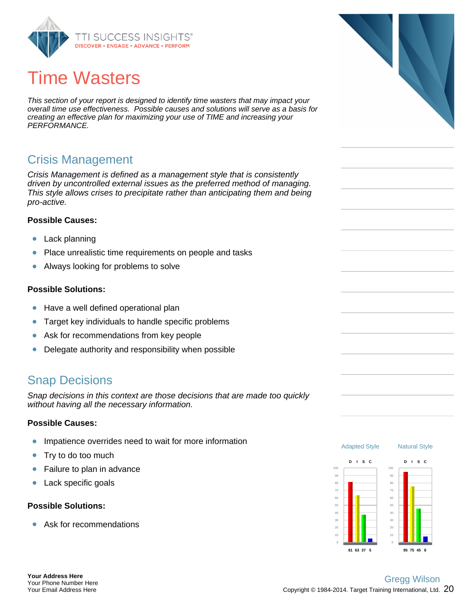

## Time Wasters

This section of your report is designed to identify time wasters that may impact your overall time use effectiveness. Possible causes and solutions will serve as a basis for creating an effective plan for maximizing your use of TIME and increasing your PERFORMANCE.

#### Crisis Management

Crisis Management is defined as a management style that is consistently driven by uncontrolled external issues as the preferred method of managing. This style allows crises to precipitate rather than anticipating them and being pro-active.

#### **Possible Causes:**

- ò Lack planning
- $\bullet$ Place unrealistic time requirements on people and tasks
- $\bullet$ Always looking for problems to solve

#### **Possible Solutions:**

- $\bullet$ Have a well defined operational plan
- Target key individuals to handle specific problems  $\bullet$
- $\bullet$ Ask for recommendations from key people
- Delegate authority and responsibility when possible  $\bullet$

#### Snap Decisions

Snap decisions in this context are those decisions that are made too quickly without having all the necessary information.

#### **Possible Causes:**

- Impatience overrides need to wait for more information ö
- $\bullet$ Try to do too much
- $\bullet$ Failure to plan in advance
- $\bullet$ Lack specific goals

#### **Possible Solutions:**

Ask for recommendations  $\bullet$ 



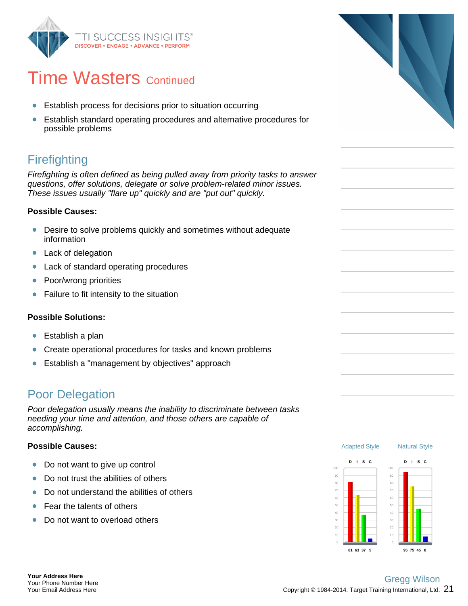

## **Time Wasters Continued**

- Establish process for decisions prior to situation occurring  $\bullet$
- Establish standard operating procedures and alternative procedures for possible problems

## **Firefighting**

Firefighting is often defined as being pulled away from priority tasks to answer questions, offer solutions, delegate or solve problem-related minor issues. These issues usually "flare up" quickly and are "put out" quickly.

#### **Possible Causes:**

- Desire to solve problems quickly and sometimes without adequate information
- Lack of delegation  $\bullet$
- $\bullet$ Lack of standard operating procedures
- Poor/wrong priorities  $\bullet$
- $\bullet$ Failure to fit intensity to the situation

#### **Possible Solutions:**

- ò Establish a plan
- Create operational procedures for tasks and known problems  $\bullet$
- Establish a "management by objectives" approach  $\bullet$

#### Poor Delegation

Poor delegation usually means the inability to discriminate between tasks needing your time and attention, and those others are capable of accomplishing.

#### **Possible Causes:**

- $\bullet$ Do not want to give up control
- Do not trust the abilities of others Ŏ
- Do not understand the abilities of others  $\bullet$
- Fear the talents of others  $\bullet$
- Do not want to overload others  $\bullet$

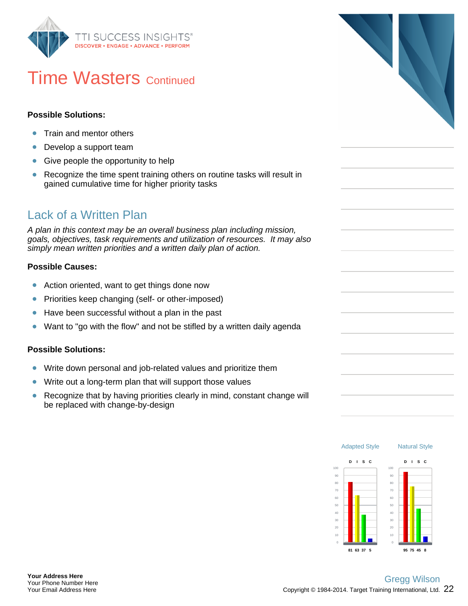

## **Time Wasters Continued**

#### **Possible Solutions:**

- Train and mentor others  $\bullet$
- Develop a support team  $\bullet$
- Give people the opportunity to help  $\bullet$
- $\bullet$ Recognize the time spent training others on routine tasks will result in gained cumulative time for higher priority tasks

#### Lack of a Written Plan

A plan in this context may be an overall business plan including mission, goals, objectives, task requirements and utilization of resources. It may also simply mean written priorities and a written daily plan of action.

#### **Possible Causes:**

- $\bullet$ Action oriented, want to get things done now
- Priorities keep changing (self- or other-imposed)  $\bullet$
- $\bullet$ Have been successful without a plan in the past
- Want to "go with the flow" and not be stifled by a written daily agenda  $\bullet$

#### **Possible Solutions:**

- Write down personal and job-related values and prioritize them  $\bullet$
- $\bullet$ Write out a long-term plan that will support those values
- Recognize that by having priorities clearly in mind, constant change will  $\bullet$ be replaced with change-by-design



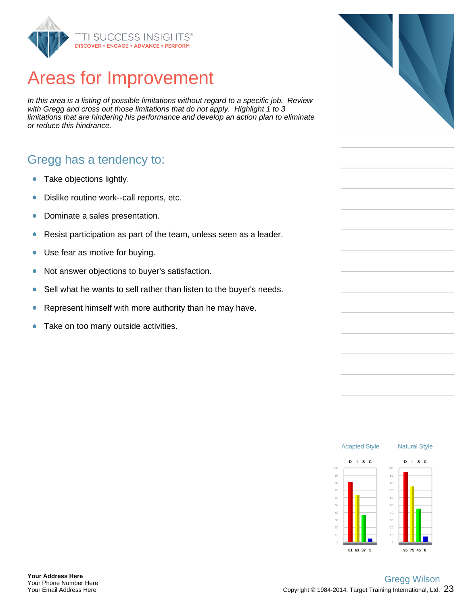

## Areas for Improvement

In this area is a listing of possible limitations without regard to a specific job. Review with Gregg and cross out those limitations that do not apply. Highlight 1 to 3 limitations that are hindering his performance and develop an action plan to eliminate or reduce this hindrance.

#### Gregg has a tendency to:

- Take objections lightly.  $\bullet$
- Dislike routine work--call reports, etc.  $\bullet$
- Dominate a sales presentation.  $\bullet$
- $\bullet$ Resist participation as part of the team, unless seen as a leader.
- Use fear as motive for buying.  $\bullet$
- Not answer objections to buyer's satisfaction.  $\bullet$
- Sell what he wants to sell rather than listen to the buyer's needs.  $\bullet$
- Represent himself with more authority than he may have. ŏ
- Take on too many outside activities.  $\bullet$



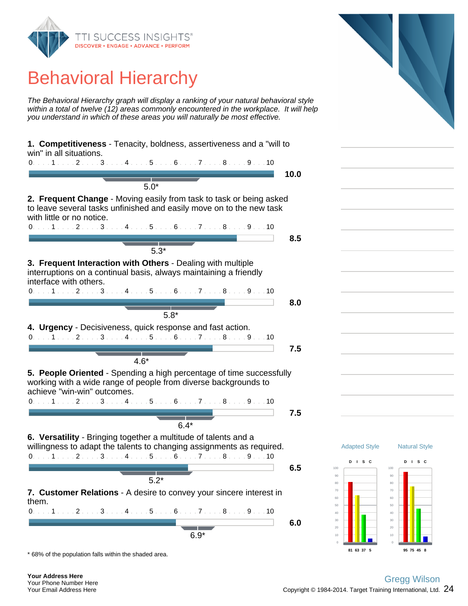

## Behavioral Hierarchy

The Behavioral Hierarchy graph will display a ranking of your natural behavioral style within a total of twelve (12) areas commonly encountered in the workplace. It will help you understand in which of these areas you will naturally be most effective.

| 1. Competitiveness - Tenacity, boldness, assertiveness and a "will to<br>win" in all situations.                                                                                                                                  |      |
|-----------------------------------------------------------------------------------------------------------------------------------------------------------------------------------------------------------------------------------|------|
| 0. 1 2 3 4 5 6 7 8 9 10                                                                                                                                                                                                           |      |
|                                                                                                                                                                                                                                   | 10.0 |
| $5.0*$                                                                                                                                                                                                                            |      |
| 2. Frequent Change - Moving easily from task to task or being asked<br>to leave several tasks unfinished and easily move on to the new task<br>with little or no notice.<br>$0.1.1.1.1.2.1.13.1.14.1.15.1.16.1.17.1.18.1.19.1.10$ |      |
|                                                                                                                                                                                                                                   | 8.5  |
|                                                                                                                                                                                                                                   |      |
| $5.3*$                                                                                                                                                                                                                            |      |
| 3. Frequent Interaction with Others - Dealing with multiple<br>interruptions on a continual basis, always maintaining a friendly<br>interface with others.                                                                        |      |
| $0. \ldots 1 \ldots 2 \ldots 3 \ldots 4 \ldots 5 \ldots 6 \ldots 7 \ldots 8 \ldots 9 \ldots 10$                                                                                                                                   |      |
|                                                                                                                                                                                                                                   | 8.0  |
| $5.8*$                                                                                                                                                                                                                            |      |
| 4. Urgency - Decisiveness, quick response and fast action.                                                                                                                                                                        |      |
| 0. 1 2 3 4 5 6 7 8 9 10                                                                                                                                                                                                           |      |
|                                                                                                                                                                                                                                   |      |
|                                                                                                                                                                                                                                   | 7.5  |
| $4.6*$                                                                                                                                                                                                                            |      |
| 5. People Oriented - Spending a high percentage of time successfully<br>working with a wide range of people from diverse backgrounds to<br>achieve "win-win" outcomes.<br>0. 1 2 3 4 5 6 7 8 9 10                                 |      |
|                                                                                                                                                                                                                                   | 7.5  |
| $6.4*$                                                                                                                                                                                                                            |      |
| 6. Versatility - Bringing together a multitude of talents and a<br>willingness to adapt the talents to changing assignments as required.<br>$0.1.1.1.1.2.1.1.3.1.1.4.1.1.5.1.16.1.1.7.1.1.8.1.1.9.1.10$                           |      |
|                                                                                                                                                                                                                                   | 6.5  |
| $5.2*$                                                                                                                                                                                                                            |      |
| 7. Customer Relations - A desire to convey your sincere interest in<br>them.                                                                                                                                                      |      |
| 0. 1 2 3 4 5 6 7 8 9 10                                                                                                                                                                                                           |      |
|                                                                                                                                                                                                                                   | 6.0  |
| $6.9*$                                                                                                                                                                                                                            |      |

\* 68% of the population falls within the shaded area.

#### Copyright  $\odot$  1984-2014. Target Training International, Ltd.  $~24$ Gregg Wilson

**81 63 37 5**

Adapted Style

Natural Style

**D I S C**

**95 75 45 8**

**D I S C**

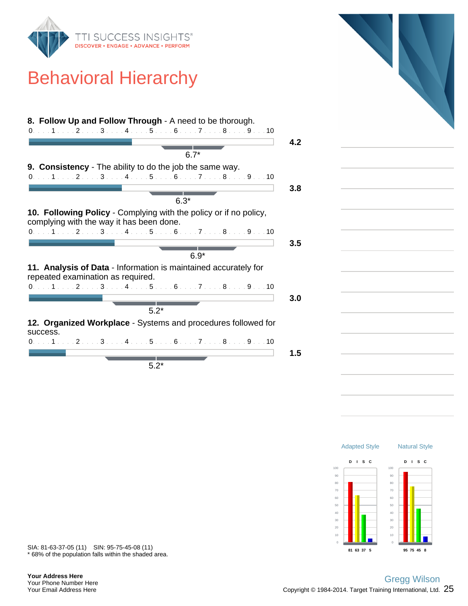

## Behavioral Hierarchy

|          | $6.7*$                                                                                                                                                                      |
|----------|-----------------------------------------------------------------------------------------------------------------------------------------------------------------------------|
|          | <b>9. Consistency</b> - The ability to do the job the same way.                                                                                                             |
|          | 0. 1 2 3 4 5 6 7 8 9 10                                                                                                                                                     |
|          |                                                                                                                                                                             |
|          | $6.3*$                                                                                                                                                                      |
|          | 10. Following Policy - Complying with the policy or if no policy,<br>complying with the way it has been done.                                                               |
|          | $0. \ldots 1 \ldots 2 \ldots 3 \ldots 4 \ldots 5 \ldots 6 \ldots 7 \ldots 8 \ldots 9 \ldots 10$                                                                             |
|          |                                                                                                                                                                             |
|          |                                                                                                                                                                             |
|          |                                                                                                                                                                             |
|          | $6.9*$<br>11. Analysis of Data - Information is maintained accurately for<br>repeated examination as required.                                                              |
|          |                                                                                                                                                                             |
|          |                                                                                                                                                                             |
|          |                                                                                                                                                                             |
|          | $5.2*$                                                                                                                                                                      |
|          |                                                                                                                                                                             |
|          | $0.1.1.1.1.2.1.13.1.14.1.15.1.16.1.17.1.18.1.19.1.10$<br>$0, \ldots, 1, \ldots, 2, \ldots, 3, \ldots, 4, \ldots, 5, \ldots, 6, \ldots, 7, \ldots, 8, \ldots, 9, \ldots, 10$ |
| success. | 12. Organized Workplace - Systems and procedures followed for                                                                                                               |



\* 68% of the population falls within the shaded area. SIA: 81-63-37-05 (11) SIN: 95-75-45-08 (11)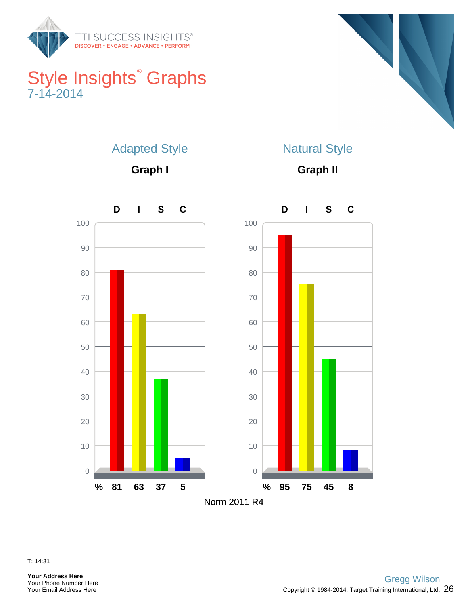

## Style Insights<sup>®</sup> Graphs 7-14-2014



## Adapted Style

**Graph I**

## Natural Style

**Graph II**



T: 14:31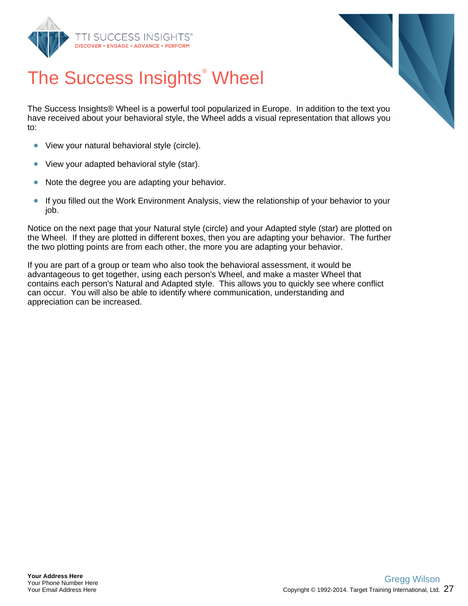



# The Success Insights<sup>®</sup> Wheel

The Success Insights® Wheel is a powerful tool popularized in Europe. In addition to the text you have received about your behavioral style, the Wheel adds a visual representation that allows you to:

- View your natural behavioral style (circle).  $\bullet$
- $\bullet$ View your adapted behavioral style (star).
- Note the degree you are adapting your behavior.  $\bullet$
- $\bullet$ If you filled out the Work Environment Analysis, view the relationship of your behavior to your job.

Notice on the next page that your Natural style (circle) and your Adapted style (star) are plotted on the Wheel. If they are plotted in different boxes, then you are adapting your behavior. The further the two plotting points are from each other, the more you are adapting your behavior.

If you are part of a group or team who also took the behavioral assessment, it would be advantageous to get together, using each person's Wheel, and make a master Wheel that contains each person's Natural and Adapted style. This allows you to quickly see where conflict can occur. You will also be able to identify where communication, understanding and appreciation can be increased.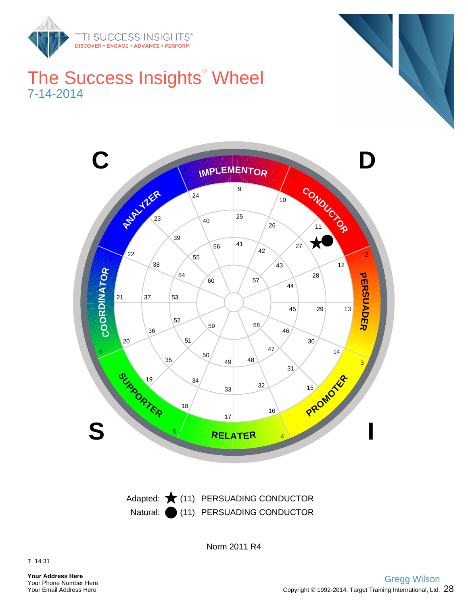

## The Success Insights<sup>®</sup> Wheel 7-14-2014



Natural: (11) PERSUADING CONDUCTOR Adapted:  $\bigstar$  (11) PERSUADING CONDUCTOR

Norm 2011 R4

**Your Address Here** Your Phone Number Here Your Email Address Here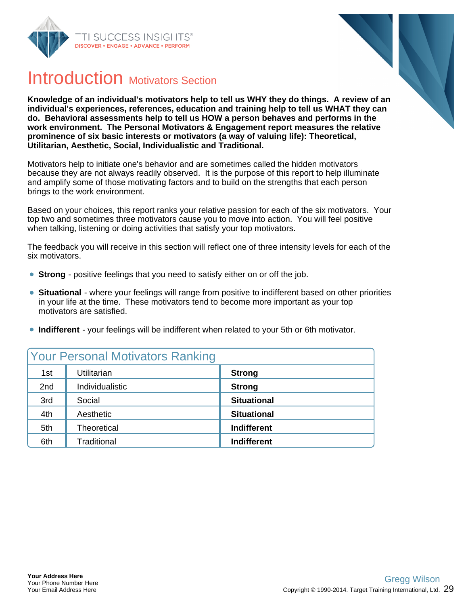



## Introduction Motivators Section

**Knowledge of an individual's motivators help to tell us WHY they do things. A review of an individual's experiences, references, education and training help to tell us WHAT they can do. Behavioral assessments help to tell us HOW a person behaves and performs in the work environment. The Personal Motivators & Engagement report measures the relative prominence of six basic interests or motivators (a way of valuing life): Theoretical, Utilitarian, Aesthetic, Social, Individualistic and Traditional.**

Motivators help to initiate one's behavior and are sometimes called the hidden motivators because they are not always readily observed. It is the purpose of this report to help illuminate and amplify some of those motivating factors and to build on the strengths that each person brings to the work environment.

Based on your choices, this report ranks your relative passion for each of the six motivators. Your top two and sometimes three motivators cause you to move into action. You will feel positive when talking, listening or doing activities that satisfy your top motivators.

The feedback you will receive in this section will reflect one of three intensity levels for each of the six motivators.

- **Strong** positive feelings that you need to satisfy either on or off the job.
- **Situational** where your feelings will range from positive to indifferent based on other priorities in your life at the time. These motivators tend to become more important as your top motivators are satisfied.
- **Indifferent** your feelings will be indifferent when related to your 5th or 6th motivator.

|     | <b>Your Personal Motivators Ranking</b> |                    |
|-----|-----------------------------------------|--------------------|
| 1st | Utilitarian                             | <b>Strong</b>      |
| 2nd | Individualistic                         | <b>Strong</b>      |
| 3rd | Social                                  | <b>Situational</b> |
| 4th | Aesthetic                               | <b>Situational</b> |
| 5th | Theoretical                             | <b>Indifferent</b> |
| 6th | Traditional                             | <b>Indifferent</b> |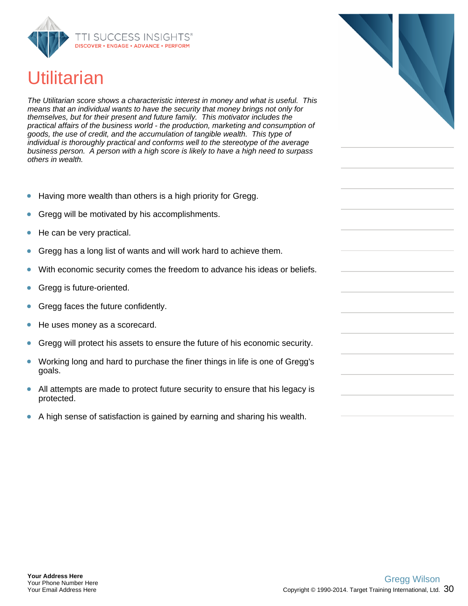

## **Utilitarian**

The Utilitarian score shows a characteristic interest in money and what is useful. This means that an individual wants to have the security that money brings not only for themselves, but for their present and future family. This motivator includes the practical affairs of the business world - the production, marketing and consumption of goods, the use of credit, and the accumulation of tangible wealth. This type of individual is thoroughly practical and conforms well to the stereotype of the average business person. A person with a high score is likely to have a high need to surpass others in wealth.

- Having more wealth than others is a high priority for Gregg.
- Gregg will be motivated by his accomplishments.
- He can be very practical.
- Gregg has a long list of wants and will work hard to achieve them.
- With economic security comes the freedom to advance his ideas or beliefs.
- Gregg is future-oriented.
- Gregg faces the future confidently.
- He uses money as a scorecard.
- Gregg will protect his assets to ensure the future of his economic security.
- Working long and hard to purchase the finer things in life is one of Gregg's goals.
- All attempts are made to protect future security to ensure that his legacy is  $\bullet$ protected.
- A high sense of satisfaction is gained by earning and sharing his wealth.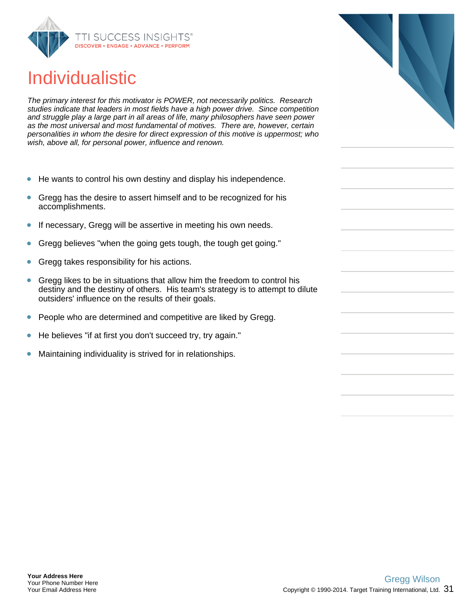

## Individualistic

The primary interest for this motivator is POWER, not necessarily politics. Research studies indicate that leaders in most fields have a high power drive. Since competition and struggle play a large part in all areas of life, many philosophers have seen power as the most universal and most fundamental of motives. There are, however, certain personalities in whom the desire for direct expression of this motive is uppermost; who wish, above all, for personal power, influence and renown.

- He wants to control his own destiny and display his independence.
- Gregg has the desire to assert himself and to be recognized for his  $\bullet$ accomplishments.
- If necessary, Gregg will be assertive in meeting his own needs.  $\bullet$
- Gregg believes "when the going gets tough, the tough get going."
- Gregg takes responsibility for his actions.
- Gregg likes to be in situations that allow him the freedom to control his destiny and the destiny of others. His team's strategy is to attempt to dilute outsiders' influence on the results of their goals.
- People who are determined and competitive are liked by Gregg.
- He believes "if at first you don't succeed try, try again."
- Maintaining individuality is strived for in relationships.

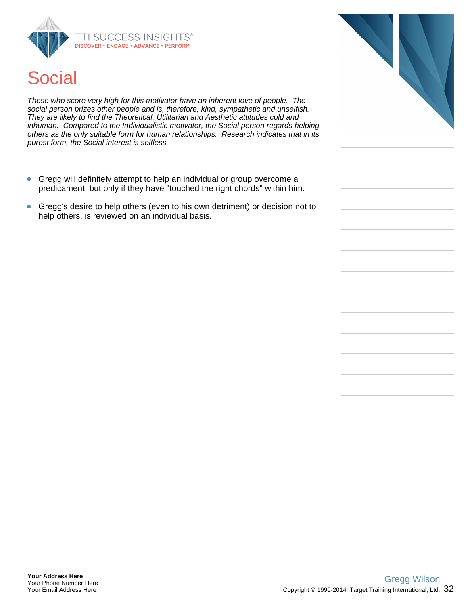



Those who score very high for this motivator have an inherent love of people. The social person prizes other people and is, therefore, kind, sympathetic and unselfish. They are likely to find the Theoretical, Utilitarian and Aesthetic attitudes cold and inhuman. Compared to the Individualistic motivator, the Social person regards helping others as the only suitable form for human relationships. Research indicates that in its purest form, the Social interest is selfless.

- Gregg will definitely attempt to help an individual or group overcome a  $\bullet$ predicament, but only if they have "touched the right chords" within him.
- Gregg's desire to help others (even to his own detriment) or decision not to  $\bullet$ help others, is reviewed on an individual basis.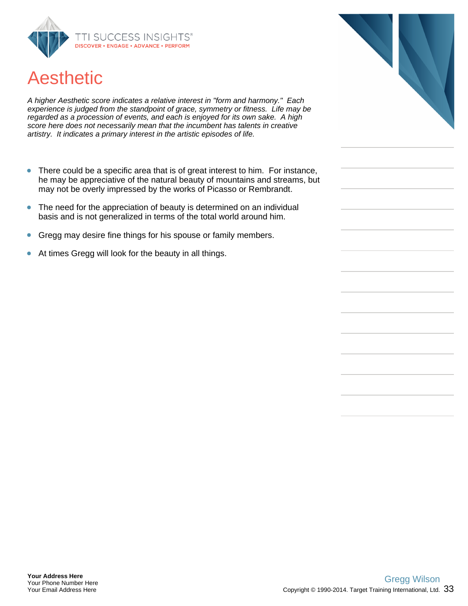

## Aesthetic

A higher Aesthetic score indicates a relative interest in "form and harmony." Each experience is judged from the standpoint of grace, symmetry or fitness. Life may be regarded as a procession of events, and each is enjoyed for its own sake. A high score here does not necessarily mean that the incumbent has talents in creative artistry. It indicates a primary interest in the artistic episodes of life.

- There could be a specific area that is of great interest to him. For instance,  $\bullet$ he may be appreciative of the natural beauty of mountains and streams, but may not be overly impressed by the works of Picasso or Rembrandt.
- The need for the appreciation of beauty is determined on an individual  $\bullet$ basis and is not generalized in terms of the total world around him.
- Gregg may desire fine things for his spouse or family members.  $\bullet$
- At times Gregg will look for the beauty in all things.  $\bullet$

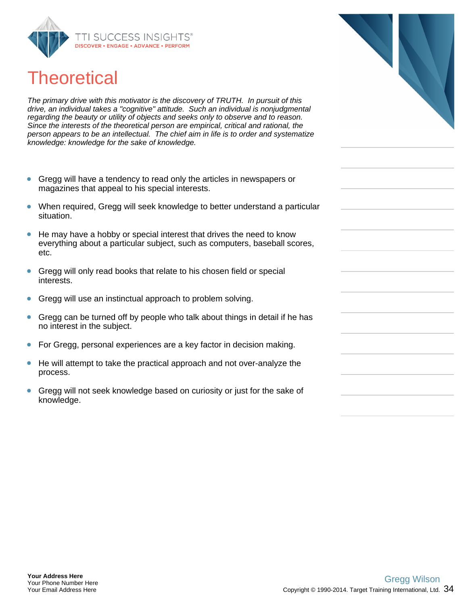

## **Theoretical**

The primary drive with this motivator is the discovery of TRUTH. In pursuit of this drive, an individual takes a "cognitive" attitude. Such an individual is nonjudgmental regarding the beauty or utility of objects and seeks only to observe and to reason. Since the interests of the theoretical person are empirical, critical and rational, the person appears to be an intellectual. The chief aim in life is to order and systematize knowledge: knowledge for the sake of knowledge.

- Gregg will have a tendency to read only the articles in newspapers or  $\bullet$ magazines that appeal to his special interests.
- When required, Gregg will seek knowledge to better understand a particular  $\bullet$ situation.
- He may have a hobby or special interest that drives the need to know everything about a particular subject, such as computers, baseball scores, etc.
- Gregg will only read books that relate to his chosen field or special interests.
- Gregg will use an instinctual approach to problem solving.
- Gregg can be turned off by people who talk about things in detail if he has no interest in the subject.
- For Gregg, personal experiences are a key factor in decision making.
- He will attempt to take the practical approach and not over-analyze the process.
- Gregg will not seek knowledge based on curiosity or just for the sake of knowledge.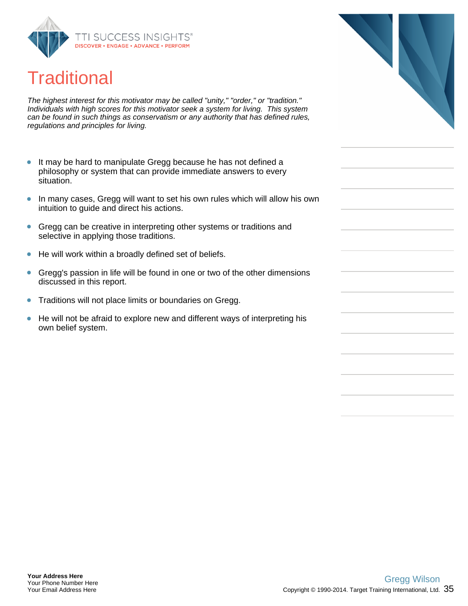

## **Traditional**

The highest interest for this motivator may be called "unity," "order," or "tradition." Individuals with high scores for this motivator seek a system for living. This system can be found in such things as conservatism or any authority that has defined rules, regulations and principles for living.

- $\bullet$ It may be hard to manipulate Gregg because he has not defined a philosophy or system that can provide immediate answers to every situation.
- In many cases, Gregg will want to set his own rules which will allow his own  $\bullet$ intuition to guide and direct his actions.
- Gregg can be creative in interpreting other systems or traditions and  $\bullet$ selective in applying those traditions.
- He will work within a broadly defined set of beliefs.  $\bullet$
- $\bullet$ Gregg's passion in life will be found in one or two of the other dimensions discussed in this report.
- Traditions will not place limits or boundaries on Gregg.  $\bullet$
- $\bullet$ He will not be afraid to explore new and different ways of interpreting his own belief system.

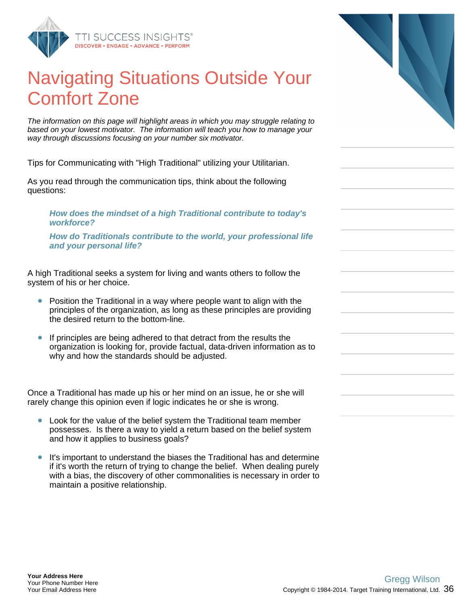

## Navigating Situations Outside Your Comfort Zone

The information on this page will highlight areas in which you may struggle relating to based on your lowest motivator. The information will teach you how to manage your way through discussions focusing on your number six motivator.

Tips for Communicating with "High Traditional" utilizing your Utilitarian.

As you read through the communication tips, think about the following questions:

**How does the mindset of a high Traditional contribute to today's workforce?**

**How do Traditionals contribute to the world, your professional life and your personal life?**

A high Traditional seeks a system for living and wants others to follow the system of his or her choice.

- Position the Traditional in a way where people want to align with the principles of the organization, as long as these principles are providing the desired return to the bottom-line.
- If principles are being adhered to that detract from the results the organization is looking for, provide factual, data-driven information as to why and how the standards should be adjusted.

Once a Traditional has made up his or her mind on an issue, he or she will rarely change this opinion even if logic indicates he or she is wrong.

- Look for the value of the belief system the Traditional team member  $\bullet$ possesses. Is there a way to yield a return based on the belief system and how it applies to business goals?
- It's important to understand the biases the Traditional has and determine if it's worth the return of trying to change the belief. When dealing purely with a bias, the discovery of other commonalities is necessary in order to maintain a positive relationship.

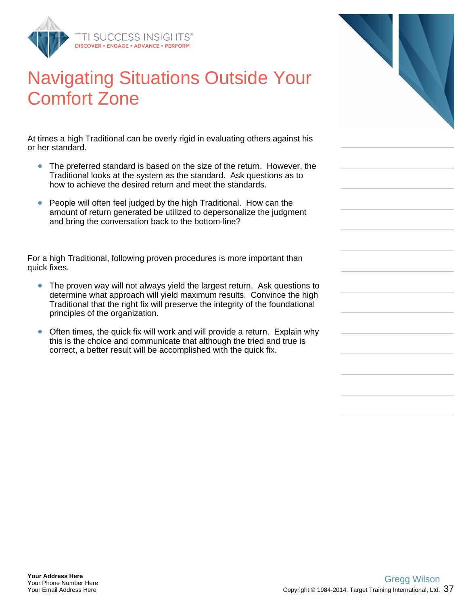

## Navigating Situations Outside Your Comfort Zone

At times a high Traditional can be overly rigid in evaluating others against his or her standard.

- The preferred standard is based on the size of the return. However, the Traditional looks at the system as the standard. Ask questions as to how to achieve the desired return and meet the standards.
- People will often feel judged by the high Traditional. How can the amount of return generated be utilized to depersonalize the judgment and bring the conversation back to the bottom-line?

For a high Traditional, following proven procedures is more important than quick fixes.

- The proven way will not always yield the largest return. Ask questions to determine what approach will yield maximum results. Convince the high Traditional that the right fix will preserve the integrity of the foundational principles of the organization.
- Often times, the quick fix will work and will provide a return. Explain why  $\bullet$ this is the choice and communicate that although the tried and true is correct, a better result will be accomplished with the quick fix.

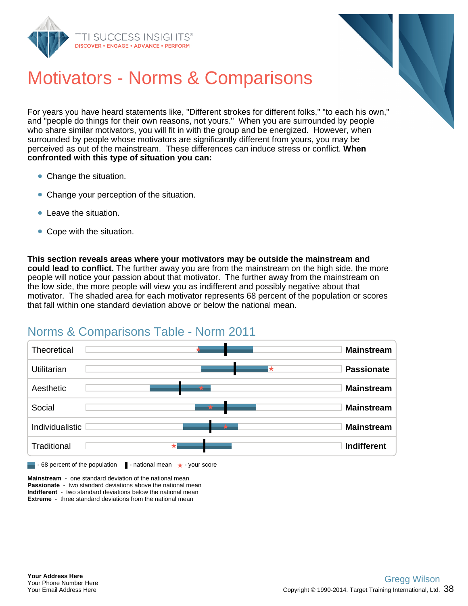



## Motivators - Norms & Comparisons

For years you have heard statements like, "Different strokes for different folks," "to each his own," and "people do things for their own reasons, not yours." When you are surrounded by people who share similar motivators, you will fit in with the group and be energized. However, when surrounded by people whose motivators are significantly different from yours, you may be perceived as out of the mainstream. These differences can induce stress or conflict. **When confronted with this type of situation you can:**

- Change the situation.
- Change your perception of the situation.
- **Contract the situation.**
- Cope with the situation.

**This section reveals areas where your motivators may be outside the mainstream and could lead to conflict.** The further away you are from the mainstream on the high side, the more people will notice your passion about that motivator. The further away from the mainstream on the low side, the more people will view you as indifferent and possibly negative about that motivator. The shaded area for each motivator represents 68 percent of the population or scores that fall within one standard deviation above or below the national mean.

### Norms & Comparisons Table - Norm 2011



**Mainstream** - one standard deviation of the national mean **Passionate** - two standard deviations above the national mean **Indifferent** - two standard deviations below the national mean **Extreme** - three standard deviations from the national mean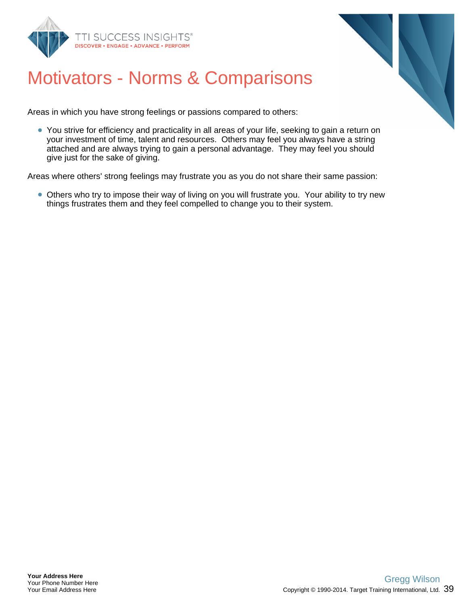



## Motivators - Norms & Comparisons

Areas in which you have strong feelings or passions compared to others:

• You strive for efficiency and practicality in all areas of your life, seeking to gain a return on your investment of time, talent and resources. Others may feel you always have a string attached and are always trying to gain a personal advantage. They may feel you should give just for the sake of giving.

Areas where others' strong feelings may frustrate you as you do not share their same passion:

Others who try to impose their way of living on you will frustrate you. Your ability to try new things frustrates them and they feel compelled to change you to their system.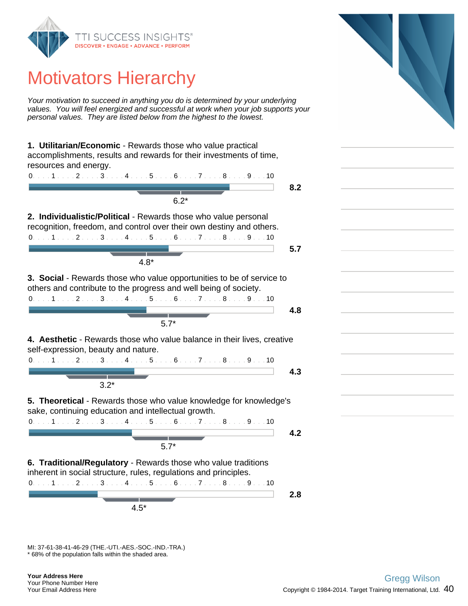

## Motivators Hierarchy

Your motivation to succeed in anything you do is determined by your underlying values. You will feel energized and successful at work when your job supports your personal values. They are listed below from the highest to the lowest.

**1. Utilitarian/Economic** - Rewards those who value practical accomplishments, results and rewards for their investments of time, resources and energy.



**2.8** 4.5\*

\* 68% of the population falls within the shaded area. MI: 37-61-38-41-46-29 (THE.-UTI.-AES.-SOC.-IND.-TRA.)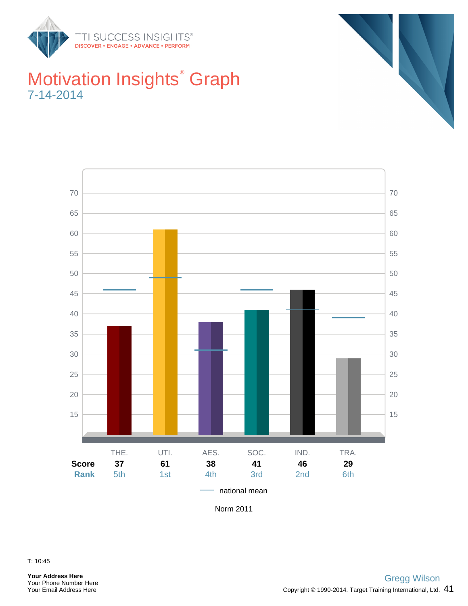







Norm 2011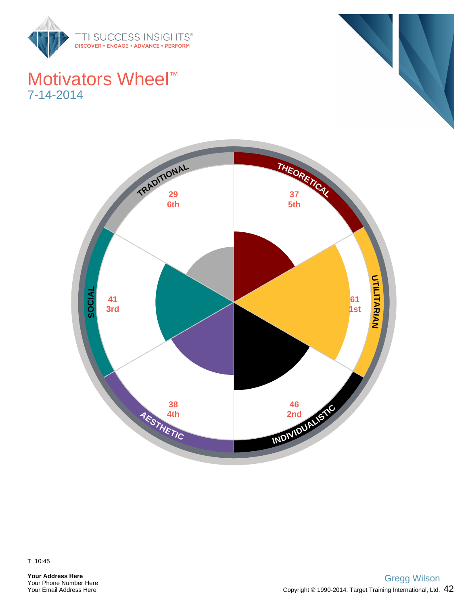

## Motivators Wheel<sup>™</sup> 7-14-2014





**Your Address Here** Your Phone Number Here Your Email Address Here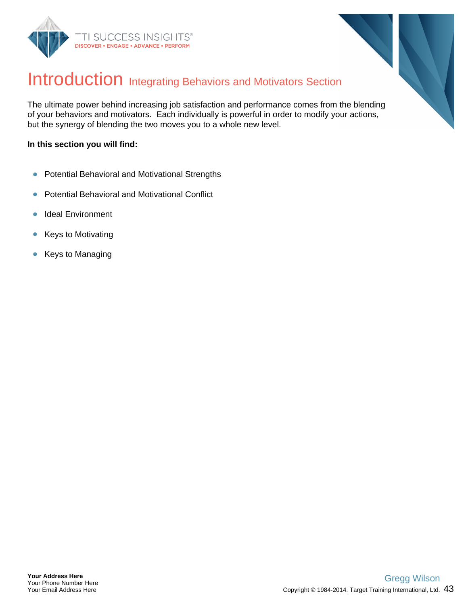



## Introduction Integrating Behaviors and Motivators Section

The ultimate power behind increasing job satisfaction and performance comes from the blending of your behaviors and motivators. Each individually is powerful in order to modify your actions, but the synergy of blending the two moves you to a whole new level.

#### **In this section you will find:**

- $\bullet$ Potential Behavioral and Motivational Strengths
- Potential Behavioral and Motivational Conflict  $\bullet$
- Ideal Environment  $\bullet$
- $\bullet$ Keys to Motivating
- Keys to Managing  $\bullet$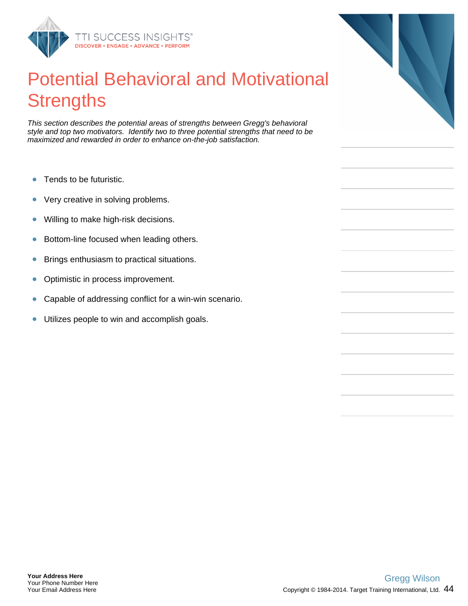

## Potential Behavioral and Motivational **Strengths**

This section describes the potential areas of strengths between Gregg's behavioral style and top two motivators. Identify two to three potential strengths that need to be maximized and rewarded in order to enhance on-the-job satisfaction.

- Tends to be futuristic.  $\bullet$
- $\bullet$ Very creative in solving problems.
- Willing to make high-risk decisions.  $\bullet$
- Bottom-line focused when leading others.  $\bullet$
- Brings enthusiasm to practical situations.  $\bullet$
- Optimistic in process improvement.  $\bullet$
- Capable of addressing conflict for a win-win scenario.  $\bullet$
- Utilizes people to win and accomplish goals.  $\bullet$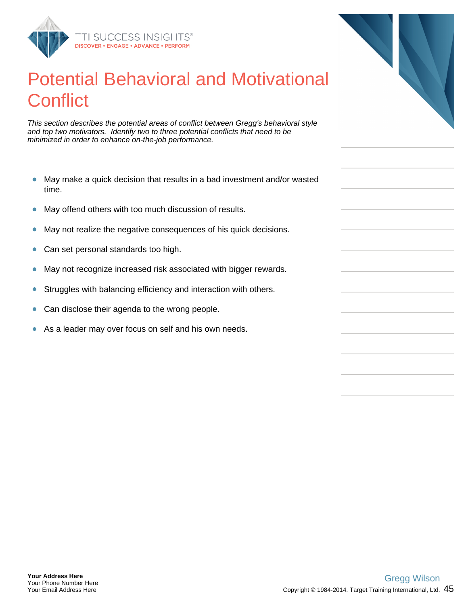

## Potential Behavioral and Motivational **Conflict**

This section describes the potential areas of conflict between Gregg's behavioral style and top two motivators. Identify two to three potential conflicts that need to be minimized in order to enhance on-the-job performance.

- $\bullet$ May make a quick decision that results in a bad investment and/or wasted time.
- $\bullet$ May offend others with too much discussion of results.
- May not realize the negative consequences of his quick decisions.  $\bullet$
- Can set personal standards too high.  $\bullet$
- May not recognize increased risk associated with bigger rewards.  $\bullet$
- Struggles with balancing efficiency and interaction with others.  $\bullet$
- Can disclose their agenda to the wrong people.  $\bullet$
- As a leader may over focus on self and his own needs.  $\bullet$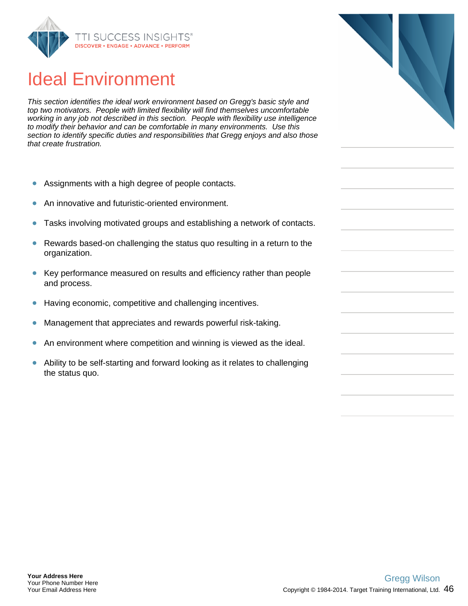

## Ideal Environment

This section identifies the ideal work environment based on Gregg's basic style and top two motivators. People with limited flexibility will find themselves uncomfortable working in any job not described in this section. People with flexibility use intelligence to modify their behavior and can be comfortable in many environments. Use this section to identify specific duties and responsibilities that Gregg enjoys and also those that create frustration.

- $\bullet$ Assignments with a high degree of people contacts.
- An innovative and futuristic-oriented environment.  $\bullet$
- Tasks involving motivated groups and establishing a network of contacts.  $\bullet$
- $\bullet$ Rewards based-on challenging the status quo resulting in a return to the organization.
- $\bullet$ Key performance measured on results and efficiency rather than people and process.
- Having economic, competitive and challenging incentives.  $\bullet$
- $\bullet$ Management that appreciates and rewards powerful risk-taking.
- $\bullet$ An environment where competition and winning is viewed as the ideal.
- Ability to be self-starting and forward looking as it relates to challenging  $\bullet$ the status quo.

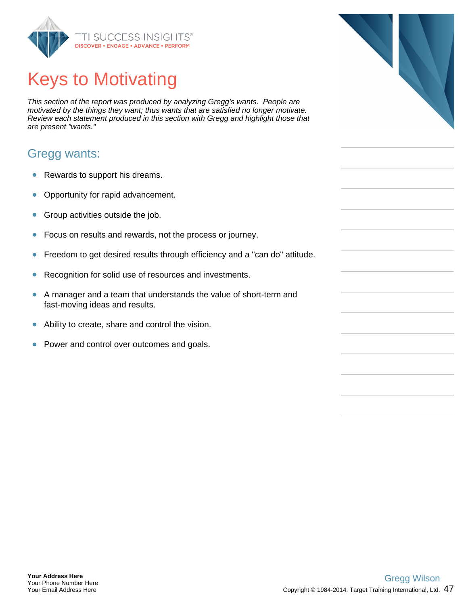

# Keys to Motivating

This section of the report was produced by analyzing Gregg's wants. People are motivated by the things they want; thus wants that are satisfied no longer motivate. Review each statement produced in this section with Gregg and highlight those that are present "wants."

#### Gregg wants:

- $\bullet$ Rewards to support his dreams.
- $\bullet$ Opportunity for rapid advancement.
- Group activities outside the job.  $\bullet$
- $\bullet$ Focus on results and rewards, not the process or journey.
- Freedom to get desired results through efficiency and a "can do" attitude.  $\bullet$
- Recognition for solid use of resources and investments.  $\bullet$
- $\bullet$ A manager and a team that understands the value of short-term and fast-moving ideas and results.
- Ability to create, share and control the vision.  $\bullet$
- $\bullet$ Power and control over outcomes and goals.

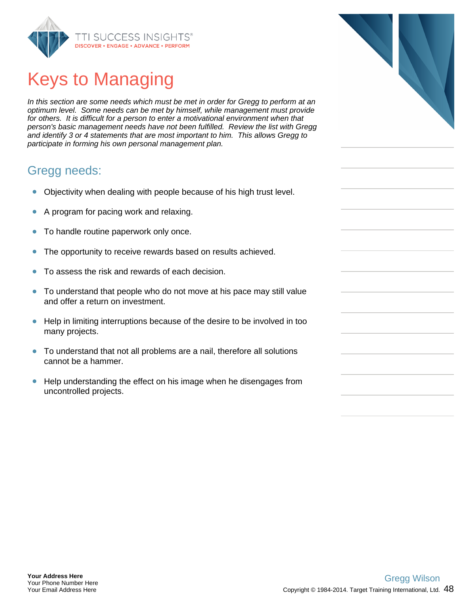

# Keys to Managing

In this section are some needs which must be met in order for Gregg to perform at an optimum level. Some needs can be met by himself, while management must provide for others. It is difficult for a person to enter a motivational environment when that person's basic management needs have not been fulfilled. Review the list with Gregg and identify 3 or 4 statements that are most important to him. This allows Gregg to participate in forming his own personal management plan.

#### Gregg needs:

- Objectivity when dealing with people because of his high trust level.  $\bullet$
- A program for pacing work and relaxing.  $\bullet$
- To handle routine paperwork only once.  $\bullet$
- The opportunity to receive rewards based on results achieved.  $\bullet$
- To assess the risk and rewards of each decision.  $\bullet$
- To understand that people who do not move at his pace may still value  $\bullet$ and offer a return on investment.
- $\bullet$ Help in limiting interruptions because of the desire to be involved in too many projects.
- To understand that not all problems are a nail, therefore all solutions cannot be a hammer.
- $\bullet$ Help understanding the effect on his image when he disengages from uncontrolled projects.

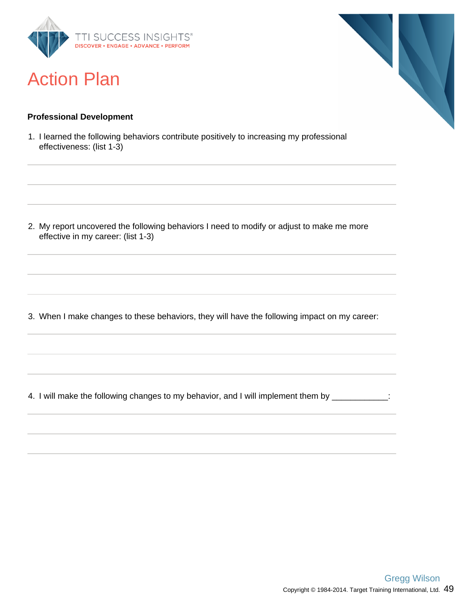

## Action Plan

# 

#### **Professional Development**

1. I learned the following behaviors contribute positively to increasing my professional effectiveness: (list 1-3)

2. My report uncovered the following behaviors I need to modify or adjust to make me more effective in my career: (list 1-3)

3. When I make changes to these behaviors, they will have the following impact on my career:

4. I will make the following changes to my behavior, and I will implement them by \_\_\_\_\_\_\_\_\_\_\_\_: